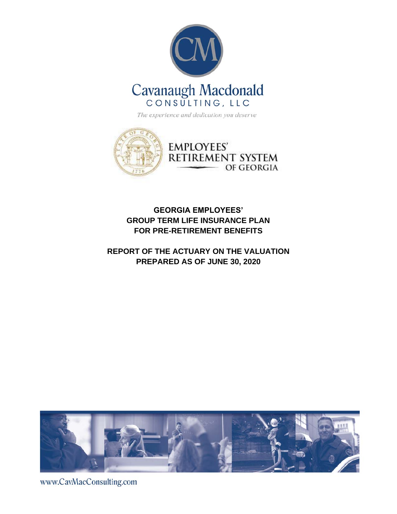



### **GEORGIA EMPLOYEES' GROUP TERM LIFE INSURANCE PLAN FOR PRE-RETIREMENT BENEFITS**

### **REPORT OF THE ACTUARY ON THE VALUATION PREPARED AS OF JUNE 30, 2020**



www.CavMacConsulting.com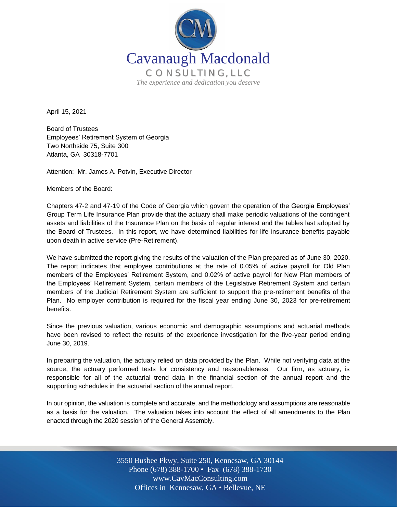

April 15, 2021

Board of Trustees Employees' Retirement System of Georgia Two Northside 75, Suite 300 Atlanta, GA 30318-7701

Attention: Mr. James A. Potvin, Executive Director

Members of the Board:

Chapters 47-2 and 47-19 of the Code of Georgia which govern the operation of the Georgia Employees' Group Term Life Insurance Plan provide that the actuary shall make periodic valuations of the contingent assets and liabilities of the Insurance Plan on the basis of regular interest and the tables last adopted by the Board of Trustees. In this report, we have determined liabilities for life insurance benefits payable upon death in active service (Pre-Retirement).

We have submitted the report giving the results of the valuation of the Plan prepared as of June 30, 2020. The report indicates that employee contributions at the rate of 0.05% of active payroll for Old Plan members of the Employees' Retirement System, and 0.02% of active payroll for New Plan members of the Employees' Retirement System, certain members of the Legislative Retirement System and certain members of the Judicial Retirement System are sufficient to support the pre-retirement benefits of the Plan. No employer contribution is required for the fiscal year ending June 30, 2023 for pre-retirement benefits.

Since the previous valuation, various economic and demographic assumptions and actuarial methods have been revised to reflect the results of the experience investigation for the five-year period ending June 30, 2019.

In preparing the valuation, the actuary relied on data provided by the Plan. While not verifying data at the source, the actuary performed tests for consistency and reasonableness. Our firm, as actuary, is responsible for all of the actuarial trend data in the financial section of the annual report and the supporting schedules in the actuarial section of the annual report.

In our opinion, the valuation is complete and accurate, and the methodology and assumptions are reasonable as a basis for the valuation. The valuation takes into account the effect of all amendments to the Plan enacted through the 2020 session of the General Assembly.

> Off Offices in Kennesaw, GA • Bellevue, NE 3550 Busbee Pkwy, Suite 250, Kennesaw, GA 30144 Phone (678) 388-1700 • Fax (678) 388-1730 www.CavMacConsulting.com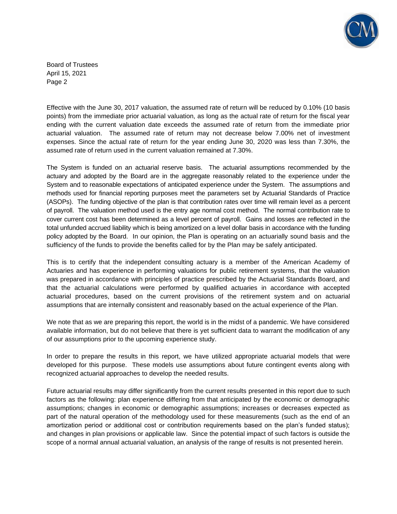

Board of Trustees April 15, 2021 Page 2

Effective with the June 30, 2017 valuation, the assumed rate of return will be reduced by 0.10% (10 basis points) from the immediate prior actuarial valuation, as long as the actual rate of return for the fiscal year ending with the current valuation date exceeds the assumed rate of return from the immediate prior actuarial valuation. The assumed rate of return may not decrease below 7.00% net of investment expenses. Since the actual rate of return for the year ending June 30, 2020 was less than 7.30%, the assumed rate of return used in the current valuation remained at 7.30%.

The System is funded on an actuarial reserve basis. The actuarial assumptions recommended by the actuary and adopted by the Board are in the aggregate reasonably related to the experience under the System and to reasonable expectations of anticipated experience under the System. The assumptions and methods used for financial reporting purposes meet the parameters set by Actuarial Standards of Practice (ASOPs). The funding objective of the plan is that contribution rates over time will remain level as a percent of payroll. The valuation method used is the entry age normal cost method. The normal contribution rate to cover current cost has been determined as a level percent of payroll. Gains and losses are reflected in the total unfunded accrued liability which is being amortized on a level dollar basis in accordance with the funding policy adopted by the Board. In our opinion, the Plan is operating on an actuarially sound basis and the sufficiency of the funds to provide the benefits called for by the Plan may be safely anticipated.

This is to certify that the independent consulting actuary is a member of the American Academy of Actuaries and has experience in performing valuations for public retirement systems, that the valuation was prepared in accordance with principles of practice prescribed by the Actuarial Standards Board, and that the actuarial calculations were performed by qualified actuaries in accordance with accepted actuarial procedures, based on the current provisions of the retirement system and on actuarial assumptions that are internally consistent and reasonably based on the actual experience of the Plan.

We note that as we are preparing this report, the world is in the midst of a pandemic. We have considered available information, but do not believe that there is yet sufficient data to warrant the modification of any of our assumptions prior to the upcoming experience study.

In order to prepare the results in this report, we have utilized appropriate actuarial models that were developed for this purpose. These models use assumptions about future contingent events along with recognized actuarial approaches to develop the needed results.

Future actuarial results may differ significantly from the current results presented in this report due to such factors as the following: plan experience differing from that anticipated by the economic or demographic assumptions; changes in economic or demographic assumptions; increases or decreases expected as part of the natural operation of the methodology used for these measurements (such as the end of an amortization period or additional cost or contribution requirements based on the plan's funded status); and changes in plan provisions or applicable law. Since the potential impact of such factors is outside the scope of a normal annual actuarial valuation, an analysis of the range of results is not presented herein.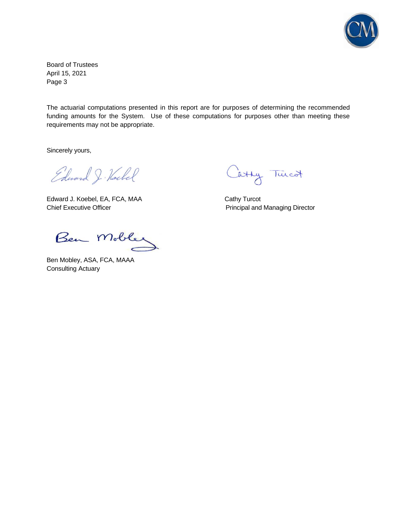

Board of Trustees April 15, 2021 Page 3

The actuarial computations presented in this report are for purposes of determining the recommended funding amounts for the System. Use of these computations for purposes other than meeting these requirements may not be appropriate.

Sincerely yours,

Edward J. Hockel

Edward J. Koebel, EA, FCA, MAA Cathy Turcot Chief Executive Officer **Principal and Managing Director** Principal and Managing Director

Catty Twicd

Ben Mobley

Ben Mobley, ASA, FCA, MAAA Consulting Actuary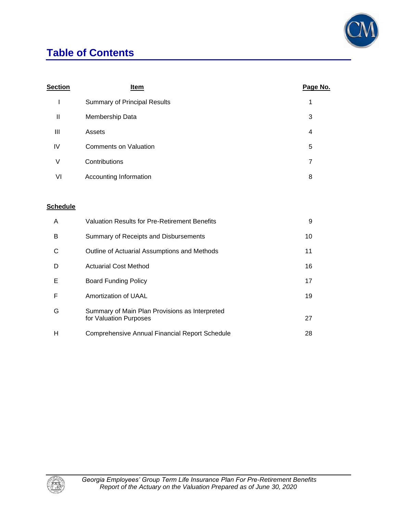## **Table of Contents**



| <b>Section</b> | Item                                | Page No. |
|----------------|-------------------------------------|----------|
|                | <b>Summary of Principal Results</b> | 1        |
| $\mathbf{  }$  | Membership Data                     | 3        |
| Ш              | Assets                              | 4        |
| IV             | <b>Comments on Valuation</b>        | 5        |
| V              | Contributions                       | 7        |
| VI             | Accounting Information              | 8        |
|                |                                     |          |

#### **Schedule**

| A | Valuation Results for Pre-Retirement Benefits                            | 9  |
|---|--------------------------------------------------------------------------|----|
| в | Summary of Receipts and Disbursements                                    | 10 |
| С | Outline of Actuarial Assumptions and Methods                             | 11 |
| D | <b>Actuarial Cost Method</b>                                             | 16 |
| Е | Board Funding Policy                                                     | 17 |
| F | Amortization of UAAL                                                     | 19 |
| G | Summary of Main Plan Provisions as Interpreted<br>for Valuation Purposes | 27 |
| н | <b>Comprehensive Annual Financial Report Schedule</b>                    | 28 |

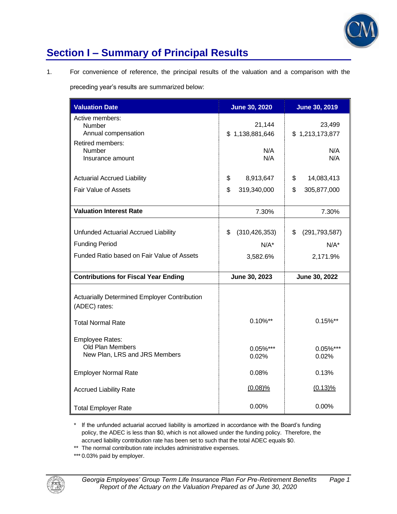

### **Section I – Summary of Principal Results**

1. For convenience of reference, the principal results of the valuation and a comparison with the

preceding year's results are summarized below:

| <b>Valuation Date</b>                                                | <b>June 30, 2020</b>      | <b>June 30, 2019</b>      |
|----------------------------------------------------------------------|---------------------------|---------------------------|
| Active members:<br>Number<br>Annual compensation                     | 21,144<br>\$1,138,881,646 | 23,499<br>\$1,213,173,877 |
| Retired members:<br>Number<br>Insurance amount                       | N/A<br>N/A                | N/A<br>N/A                |
| <b>Actuarial Accrued Liability</b>                                   | \$<br>8,913,647           | \$<br>14,083,413          |
| Fair Value of Assets                                                 | \$<br>319,340,000         | \$<br>305,877,000         |
| <b>Valuation Interest Rate</b>                                       | 7.30%                     | 7.30%                     |
| Unfunded Actuarial Accrued Liability                                 | \$<br>(310, 426, 353)     | \$<br>(291, 793, 587)     |
| <b>Funding Period</b>                                                | $N/A^*$                   | $N/A^*$                   |
| Funded Ratio based on Fair Value of Assets                           | 3,582.6%                  | 2,171.9%                  |
| <b>Contributions for Fiscal Year Ending</b>                          | June 30, 2023             | June 30, 2022             |
| <b>Actuarially Determined Employer Contribution</b><br>(ADEC) rates: |                           |                           |
| <b>Total Normal Rate</b>                                             | $0.10\%$ **               | $0.15\%$ **               |
| Employee Rates:<br>Old Plan Members<br>New Plan, LRS and JRS Members | $0.05\%$ ***<br>$0.02\%$  | 0.05%***<br>0.02%         |
| <b>Employer Normal Rate</b>                                          | 0.08%                     | 0.13%                     |
| <b>Accrued Liability Rate</b>                                        | $(0.08)\%$                | $(0.13)\%$                |
| <b>Total Employer Rate</b>                                           | 0.00%                     | 0.00%                     |

\* If the unfunded actuarial accrued liability is amortized in accordance with the Board's funding policy, the ADEC is less than \$0, which is not allowed under the funding policy. Therefore, the accrued liability contribution rate has been set to such that the total ADEC equals \$0.

\*\* The normal contribution rate includes administrative expenses.

\*\*\* 0.03% paid by employer.

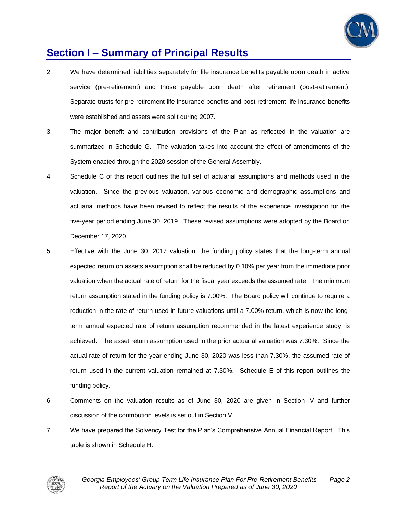

### **Section I – Summary of Principal Results**

- 2. We have determined liabilities separately for life insurance benefits payable upon death in active service (pre-retirement) and those payable upon death after retirement (post-retirement). Separate trusts for pre-retirement life insurance benefits and post-retirement life insurance benefits were established and assets were split during 2007.
- 3. The major benefit and contribution provisions of the Plan as reflected in the valuation are summarized in Schedule G. The valuation takes into account the effect of amendments of the System enacted through the 2020 session of the General Assembly.
- 4. Schedule C of this report outlines the full set of actuarial assumptions and methods used in the valuation. Since the previous valuation, various economic and demographic assumptions and actuarial methods have been revised to reflect the results of the experience investigation for the five-year period ending June 30, 2019. These revised assumptions were adopted by the Board on December 17, 2020.
- 5. Effective with the June 30, 2017 valuation, the funding policy states that the long-term annual expected return on assets assumption shall be reduced by 0.10% per year from the immediate prior valuation when the actual rate of return for the fiscal year exceeds the assumed rate. The minimum return assumption stated in the funding policy is 7.00%. The Board policy will continue to require a reduction in the rate of return used in future valuations until a 7.00% return, which is now the longterm annual expected rate of return assumption recommended in the latest experience study, is achieved. The asset return assumption used in the prior actuarial valuation was 7.30%. Since the actual rate of return for the year ending June 30, 2020 was less than 7.30%, the assumed rate of return used in the current valuation remained at 7.30%. Schedule E of this report outlines the funding policy.
- 6. Comments on the valuation results as of June 30, 2020 are given in Section IV and further discussion of the contribution levels is set out in Section V.
- 7. We have prepared the Solvency Test for the Plan's Comprehensive Annual Financial Report. This table is shown in Schedule H.

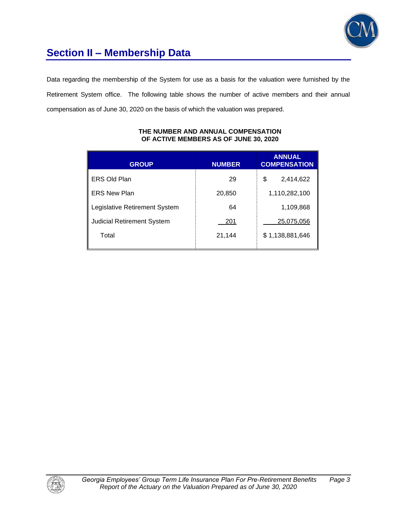

# **Section II – Membership Data**

Data regarding the membership of the System for use as a basis for the valuation were furnished by the Retirement System office. The following table shows the number of active members and their annual compensation as of June 30, 2020 on the basis of which the valuation was prepared.

| <b>GROUP</b>                      | <b>NUMBER</b> | <b>ANNUAL</b><br><b>COMPENSATION</b> |
|-----------------------------------|---------------|--------------------------------------|
| <b>ERS Old Plan</b>               | 29            | \$<br>2,414,622                      |
| <b>ERS New Plan</b>               | 20,850        | 1,110,282,100                        |
| Legislative Retirement System     | 64            | 1,109,868                            |
| <b>Judicial Retirement System</b> | 201           | 25,075,056                           |
| Total                             | 21,144        | \$1,138,881,646                      |

#### **THE NUMBER AND ANNUAL COMPENSATION OF ACTIVE MEMBERS AS OF JUNE 30, 2020**

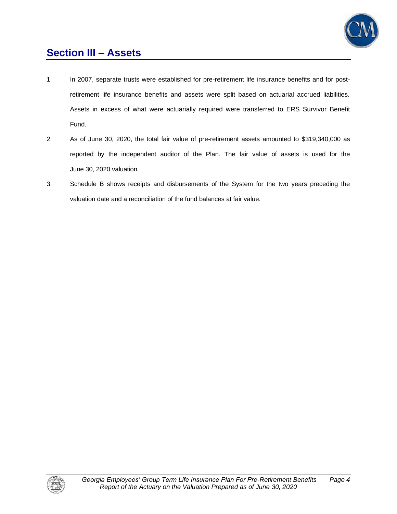

### **Section III – Assets**

- 1. In 2007, separate trusts were established for pre-retirement life insurance benefits and for postretirement life insurance benefits and assets were split based on actuarial accrued liabilities. Assets in excess of what were actuarially required were transferred to ERS Survivor Benefit Fund.
- 2. As of June 30, 2020, the total fair value of pre-retirement assets amounted to \$319,340,000 as reported by the independent auditor of the Plan. The fair value of assets is used for the June 30, 2020 valuation.
- 3. Schedule B shows receipts and disbursements of the System for the two years preceding the valuation date and a reconciliation of the fund balances at fair value.

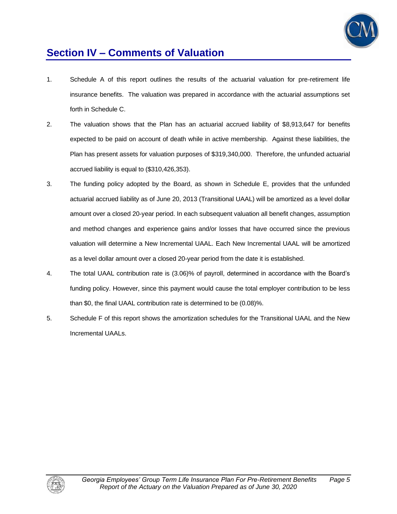

### **Section IV – Comments of Valuation**

- 1. Schedule A of this report outlines the results of the actuarial valuation for pre-retirement life insurance benefits. The valuation was prepared in accordance with the actuarial assumptions set forth in Schedule C.
- 2. The valuation shows that the Plan has an actuarial accrued liability of \$8,913,647 for benefits expected to be paid on account of death while in active membership. Against these liabilities, the Plan has present assets for valuation purposes of \$319,340,000. Therefore, the unfunded actuarial accrued liability is equal to (\$310,426,353).
- 3. The funding policy adopted by the Board, as shown in Schedule E, provides that the unfunded actuarial accrued liability as of June 20, 2013 (Transitional UAAL) will be amortized as a level dollar amount over a closed 20-year period. In each subsequent valuation all benefit changes, assumption and method changes and experience gains and/or losses that have occurred since the previous valuation will determine a New Incremental UAAL. Each New Incremental UAAL will be amortized as a level dollar amount over a closed 20-year period from the date it is established.
- 4. The total UAAL contribution rate is (3.06)% of payroll, determined in accordance with the Board's funding policy. However, since this payment would cause the total employer contribution to be less than \$0, the final UAAL contribution rate is determined to be (0.08)%.
- 5. Schedule F of this report shows the amortization schedules for the Transitional UAAL and the New Incremental UAALs.

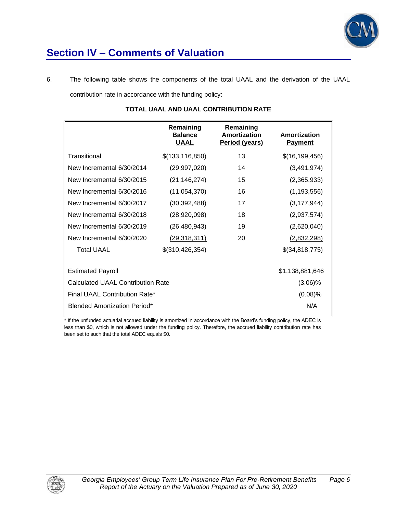

## **Section IV – Comments of Valuation**

6. The following table shows the components of the total UAAL and the derivation of the UAAL contribution rate in accordance with the funding policy:

|                                     | Remaining<br><b>Balance</b><br><b>UAAL</b> | Remaining<br>Amortization<br>Period (years) | Amortization<br><b>Payment</b> |
|-------------------------------------|--------------------------------------------|---------------------------------------------|--------------------------------|
| Transitional                        | \$(133, 116, 850)                          | 13                                          | \$(16, 199, 456)               |
| New Incremental 6/30/2014           | (29, 997, 020)                             | 14                                          | (3,491,974)                    |
| New Incremental 6/30/2015           | (21, 146, 274)                             | 15                                          | (2,365,933)                    |
| New Incremental 6/30/2016           | (11,054,370)                               | 16                                          | (1, 193, 556)                  |
| New Incremental 6/30/2017           | (30, 392, 488)                             | 17                                          | (3, 177, 944)                  |
| New Incremental 6/30/2018           | (28,920,098)                               | 18                                          | (2,937,574)                    |
| New Incremental 6/30/2019           | (26, 480, 943)                             | 19                                          | (2,620,040)                    |
| New Incremental 6/30/2020           | <u>(29,318,311)</u>                        | 20                                          | (2,832,298)                    |
| <b>Total UAAL</b>                   | \$(310, 426, 354)                          |                                             | \$(34,818,775)                 |
| <b>Estimated Payroll</b>            | \$1,138,881,646                            |                                             |                                |
| Calculated UAAL Contribution Rate   | $(3.06)\%$                                 |                                             |                                |
| Final UAAL Contribution Rate*       | $(0.08)$ %                                 |                                             |                                |
| <b>Blended Amortization Period*</b> |                                            | N/A                                         |                                |
|                                     |                                            |                                             |                                |

#### **TOTAL UAAL AND UAAL CONTRIBUTION RATE**

\* If the unfunded actuarial accrued liability is amortized in accordance with the Board's funding policy, the ADEC is less than \$0, which is not allowed under the funding policy. Therefore, the accrued liability contribution rate has been set to such that the total ADEC equals \$0.

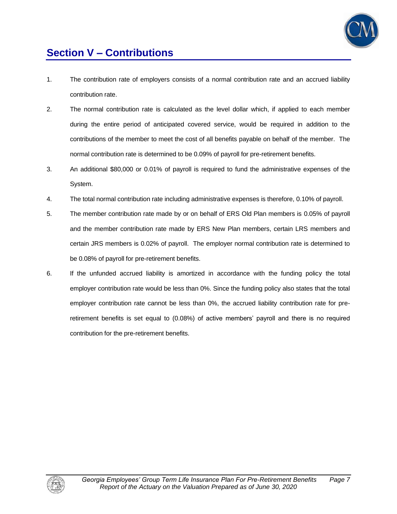

## **Section V – Contributions**

- 1. The contribution rate of employers consists of a normal contribution rate and an accrued liability contribution rate.
- 2. The normal contribution rate is calculated as the level dollar which, if applied to each member during the entire period of anticipated covered service, would be required in addition to the contributions of the member to meet the cost of all benefits payable on behalf of the member. The normal contribution rate is determined to be 0.09% of payroll for pre-retirement benefits.
- 3. An additional \$80,000 or 0.01% of payroll is required to fund the administrative expenses of the System.
- 4. The total normal contribution rate including administrative expenses is therefore, 0.10% of payroll.
- 5. The member contribution rate made by or on behalf of ERS Old Plan members is 0.05% of payroll and the member contribution rate made by ERS New Plan members, certain LRS members and certain JRS members is 0.02% of payroll. The employer normal contribution rate is determined to be 0.08% of payroll for pre-retirement benefits.
- 6. If the unfunded accrued liability is amortized in accordance with the funding policy the total employer contribution rate would be less than 0%. Since the funding policy also states that the total employer contribution rate cannot be less than 0%, the accrued liability contribution rate for preretirement benefits is set equal to (0.08%) of active members' payroll and there is no required contribution for the pre-retirement benefits.

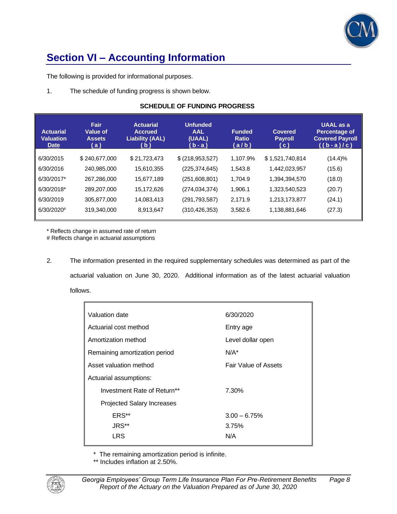

## **Section VI – Accounting Information**

The following is provided for informational purposes.

1. The schedule of funding progress is shown below.

#### **SCHEDULE OF FUNDING PROGRESS**

| <b>Actuarial</b><br><b>Valuation</b><br><b>Date</b> | Fair<br><b>Value of</b><br><b>Assets</b><br>(a) | <b>Actuarial</b><br><b>Accrued</b><br><b>Liability (AAL)</b><br>( b ) | <b>Unfunded</b><br><b>AAL</b><br>(UAAL)<br>( b - a ) | <b>Funded</b><br><b>Ratio</b><br>(a/b) | <b>Covered</b><br><b>Payroll</b><br>(c) | <b>UAAL</b> as a<br><b>Percentage of</b><br><b>Covered Payroll</b><br>$((b-a)/c)$ |
|-----------------------------------------------------|-------------------------------------------------|-----------------------------------------------------------------------|------------------------------------------------------|----------------------------------------|-----------------------------------------|-----------------------------------------------------------------------------------|
| 6/30/2015                                           | \$240,677,000                                   | \$21,723,473                                                          | \$ (218, 953, 527)                                   | 1,107.9%                               | \$1,521,740,814                         | $(14.4)\%$                                                                        |
| 6/30/2016                                           | 240,985,000                                     | 15,610,355                                                            | (225, 374, 645)                                      | 1,543.8                                | 1,442,023,957                           | (15.6)                                                                            |
| 6/30/2017*                                          | 267,286,000                                     | 15,677,189                                                            | (251,608,801)                                        | 1.704.9                                | 1,394,394,570                           | (18.0)                                                                            |
| 6/30/2018*                                          | 289,207,000                                     | 15,172,626                                                            | (274, 034, 374)                                      | 1,906.1                                | 1,323,540,523                           | (20.7)                                                                            |
| 6/30/2019                                           | 305,877,000                                     | 14,083,413                                                            | (291, 793, 587)                                      | 2,171.9                                | 1,213,173,877                           | (24.1)                                                                            |
| $6/30/2020$ <sup>#</sup>                            | 319,340,000                                     | 8,913,647                                                             | (310, 426, 353)                                      | 3,582.6                                | 1,138,881,646                           | (27.3)                                                                            |
|                                                     |                                                 |                                                                       |                                                      |                                        |                                         |                                                                                   |

\* Reflects change in assumed rate of return

# Reflects change in actuarial assumptions

2. The information presented in the required supplementary schedules was determined as part of the actuarial valuation on June 30, 2020. Additional information as of the latest actuarial valuation follows.

| Valuation date                | 6/30/2020                   |  |
|-------------------------------|-----------------------------|--|
| Actuarial cost method         | Entry age                   |  |
| Amortization method           | Level dollar open           |  |
| Remaining amortization period | $N/A^*$                     |  |
| Asset valuation method        | <b>Fair Value of Assets</b> |  |
| Actuarial assumptions:        |                             |  |
| Investment Rate of Return**   | 7.30%                       |  |
| Projected Salary Increases    |                             |  |
| ERS**                         | $3.00 - 6.75%$              |  |
| JRS**                         | 3.75%                       |  |
| LRS                           | N/A                         |  |
|                               |                             |  |

\* The remaining amortization period is infinite.

\*\* Includes inflation at 2.50%.

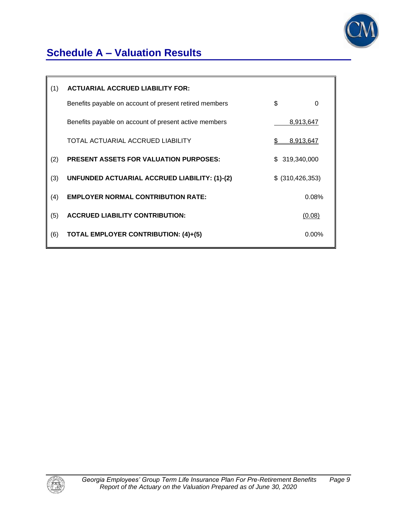

## **Schedule A – Valuation Results**

| (1) | <b>ACTUARIAL ACCRUED LIABILITY FOR:</b>                |    |                    |
|-----|--------------------------------------------------------|----|--------------------|
|     | Benefits payable on account of present retired members | \$ | 0                  |
|     | Benefits payable on account of present active members  |    | 8,913,647          |
|     | TOTAL ACTUARIAL ACCRUED LIABILITY                      | S  | 8,913,647          |
| (2) | <b>PRESENT ASSETS FOR VALUATION PURPOSES:</b>          |    | \$319,340,000      |
| (3) | UNFUNDED ACTUARIAL ACCRUED LIABILITY: (1)-(2)          |    | \$ (310, 426, 353) |
| (4) | <b>EMPLOYER NORMAL CONTRIBUTION RATE:</b>              |    | 0.08%              |
| (5) | <b>ACCRUED LIABILITY CONTRIBUTION:</b>                 |    | (0.08)             |
| (6) | <b>TOTAL EMPLOYER CONTRIBUTION: (4)+(5)</b>            |    | $0.00\%$           |
|     |                                                        |    |                    |

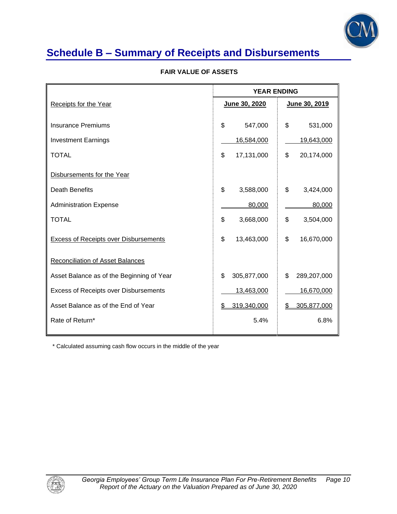

### **Schedule B – Summary of Receipts and Disbursements**

|                                              | <b>YEAR ENDING</b> |                   |
|----------------------------------------------|--------------------|-------------------|
| Receipts for the Year                        | June 30, 2020      | June 30, 2019     |
|                                              |                    |                   |
| <b>Insurance Premiums</b>                    | \$<br>547,000      | \$<br>531,000     |
| <b>Investment Earnings</b>                   | 16,584,000         | 19,643,000        |
| <b>TOTAL</b>                                 | \$<br>17,131,000   | \$<br>20,174,000  |
| Disbursements for the Year                   |                    |                   |
| Death Benefits                               | \$<br>3,588,000    | \$<br>3,424,000   |
| <b>Administration Expense</b>                | 80,000             | 80,000            |
| <b>TOTAL</b>                                 | \$<br>3,668,000    | \$<br>3,504,000   |
| <b>Excess of Receipts over Disbursements</b> | \$<br>13,463,000   | \$<br>16,670,000  |
| <b>Reconciliation of Asset Balances</b>      |                    |                   |
| Asset Balance as of the Beginning of Year    | \$<br>305,877,000  | \$<br>289,207,000 |
| <b>Excess of Receipts over Disbursements</b> | 13,463,000         | 16,670,000        |
| Asset Balance as of the End of Year          | 319,340,000<br>\$  | \$<br>305,877,000 |
| Rate of Return*                              |                    | 5.4%<br>6.8%      |

#### **FAIR VALUE OF ASSETS**

\* Calculated assuming cash flow occurs in the middle of the year

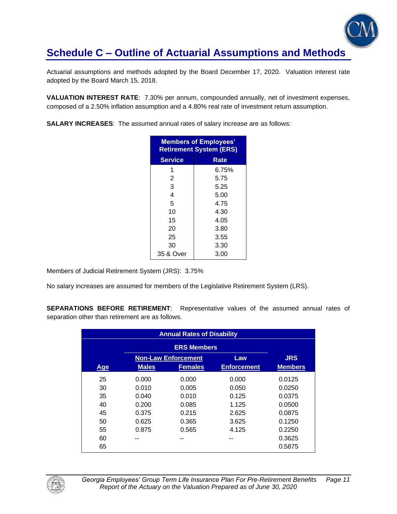

Actuarial assumptions and methods adopted by the Board December 17, 2020. Valuation interest rate adopted by the Board March 15, 2018.

**VALUATION INTEREST RATE**: 7.30% per annum, compounded annually, net of investment expenses, composed of a 2.50% inflation assumption and a 4.80% real rate of investment return assumption.

**SALARY INCREASES**: The assumed annual rates of salary increase are as follows:

| <b>Members of Employees'</b><br><b>Retirement System (ERS)</b> |       |  |  |
|----------------------------------------------------------------|-------|--|--|
| <b>Service</b>                                                 | Rate  |  |  |
| 1                                                              | 6.75% |  |  |
| 2                                                              | 5.75  |  |  |
| 3                                                              | 5.25  |  |  |
| 4                                                              | 5.00  |  |  |
| 5                                                              | 4.75  |  |  |
| 10                                                             | 4.30  |  |  |
| 15                                                             | 4.05  |  |  |
| 20                                                             | 3.80  |  |  |
| 25                                                             | 3.55  |  |  |
| 30                                                             | 3.30  |  |  |
| 35 & Over                                                      | 3.00  |  |  |

Members of Judicial Retirement System (JRS): 3.75%

No salary increases are assumed for members of the Legislative Retirement System (LRS).

**SEPARATIONS BEFORE RETIREMENT**: Representative values of the assumed annual rates of separation other than retirement are as follows.

| <b>Annual Rates of Disability</b> |              |                            |                    |                |
|-----------------------------------|--------------|----------------------------|--------------------|----------------|
|                                   |              |                            |                    |                |
|                                   |              | <b>Non-Law Enforcement</b> | Law                | <b>JRS</b>     |
| Age                               | <b>Males</b> | <b>Females</b>             | <b>Enforcement</b> | <b>Members</b> |
| 25                                | 0.000        | 0.000                      | 0.000              | 0.0125         |
| 30                                | 0.010        | 0.005                      | 0.050              | 0.0250         |
| 35                                | 0.040        | 0.010                      | 0.125              | 0.0375         |
| 40                                | 0.200        | 0.085                      | 1.125              | 0.0500         |
| 45                                | 0.375        | 0.215                      | 2.625              | 0.0875         |
| 50                                | 0.625        | 0.365                      | 3.625              | 0.1250         |
| 55                                | 0.875        | 0.565                      | 4.125              | 0.2250         |
| 60                                | --           |                            |                    | 0.3625         |
| 65                                |              |                            |                    | 0.5875         |

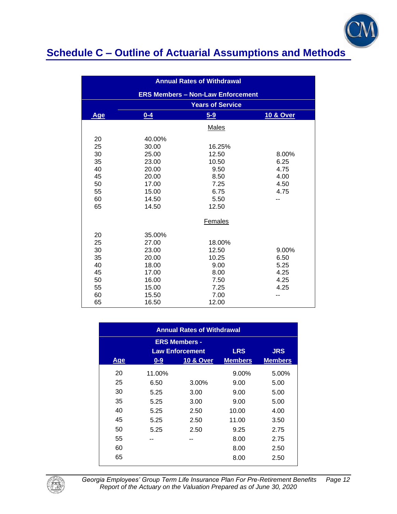

| <b>Annual Rates of Withdrawal</b>        |        |                         |           |
|------------------------------------------|--------|-------------------------|-----------|
| <b>ERS Members - Non-Law Enforcement</b> |        |                         |           |
|                                          |        | <b>Years of Service</b> |           |
| Age                                      | $0-4$  | $5 - 9$                 | 10 & Over |
|                                          |        | Males                   |           |
| 20                                       | 40.00% |                         |           |
| 25                                       | 30.00  | 16.25%                  |           |
| 30                                       | 25.00  | 12.50                   | 8.00%     |
| 35                                       | 23.00  | 10.50                   | 6.25      |
| 40                                       | 20.00  | 9.50                    | 4.75      |
| 45                                       | 20.00  | 8.50                    | 4.00      |
| 50                                       | 17.00  | 7.25                    | 4.50      |
| 55                                       | 15.00  | 6.75                    | 4.75      |
| 60                                       | 14.50  | 5.50                    |           |
| 65                                       | 14.50  | 12.50                   |           |
|                                          |        | Females                 |           |
| 20                                       | 35.00% |                         |           |
| 25                                       | 27.00  | 18.00%                  |           |
| 30                                       | 23.00  | 12.50                   | 9.00%     |
| 35                                       | 20.00  | 10.25                   | 6.50      |
| 40                                       | 18.00  | 9.00                    | 5.25      |
| 45                                       | 17.00  | 8.00                    | 4.25      |
| 50                                       | 16.00  | 7.50                    | 4.25      |
| 55                                       | 15.00  | 7.25                    | 4.25      |
| 60                                       | 15.50  | 7.00                    |           |
| 65                                       | 16.50  | 12.00                   |           |

| <b>Annual Rates of Withdrawal</b>                                          |         |                      |                |                |  |
|----------------------------------------------------------------------------|---------|----------------------|----------------|----------------|--|
| <b>ERS Members -</b><br><b>LRS</b><br><b>JRS</b><br><b>Law Enforcement</b> |         |                      |                |                |  |
| <b>Age</b>                                                                 | $0 - 9$ | <b>10 &amp; Over</b> | <b>Members</b> | <b>Members</b> |  |
| 20                                                                         | 11.00%  |                      | 9.00%          | 5.00%          |  |
| 25                                                                         | 6.50    | 3.00%                | 9.00           | 5.00           |  |
| 30                                                                         | 5.25    | 3.00                 | 9.00           | 5.00           |  |
| 35                                                                         | 5.25    | 3.00                 | 9.00           | 5.00           |  |
| 40                                                                         | 5.25    | 2.50                 | 10.00          | 4.00           |  |
| 45                                                                         | 5.25    | 2.50                 | 11.00          | 3.50           |  |
| 50                                                                         | 5.25    | 2.50                 | 9.25           | 2.75           |  |
| 55                                                                         |         |                      | 8.00           | 2.75           |  |
| 60                                                                         |         |                      | 8.00           | 2.50           |  |
| 65                                                                         |         |                      | 8.00           | 2.50           |  |



*Georgia Employees' Group Term Life Insurance Plan For Pre-Retirement Benefits Page 12 Report of the Actuary on the Valuation Prepared as of June 30, 2020*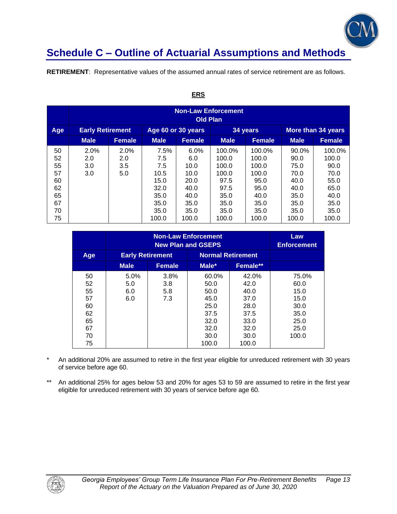

**RETIREMENT**: Representative values of the assumed annual rates of service retirement are as follows.

|                                                          | <b>Non-Law Enforcement</b><br><b>Old Plan</b> |                           |                                                                             |                                                                              |                                                                                    |                                                                                    |                                                                                |                                                                                  |  |
|----------------------------------------------------------|-----------------------------------------------|---------------------------|-----------------------------------------------------------------------------|------------------------------------------------------------------------------|------------------------------------------------------------------------------------|------------------------------------------------------------------------------------|--------------------------------------------------------------------------------|----------------------------------------------------------------------------------|--|
| Age                                                      | <b>Early Retirement</b>                       |                           | Age 60 or 30 years                                                          |                                                                              |                                                                                    | 34 years                                                                           |                                                                                | <b>More than 34 years</b>                                                        |  |
|                                                          | <b>Male</b>                                   | <b>Female</b>             | <b>Male</b>                                                                 | <b>Female</b>                                                                | <b>Male</b>                                                                        | <b>Female</b>                                                                      | <b>Male</b>                                                                    | <b>Female</b>                                                                    |  |
| 50<br>52<br>55<br>57<br>60<br>62<br>65<br>67<br>70<br>75 | 2.0%<br>2.0<br>3.0<br>3.0                     | 2.0%<br>2.0<br>3.5<br>5.0 | 7.5%<br>7.5<br>7.5<br>10.5<br>15.0<br>32.0<br>35.0<br>35.0<br>35.0<br>100.0 | 6.0%<br>6.0<br>10.0<br>10.0<br>20.0<br>40.0<br>40.0<br>35.0<br>35.0<br>100.0 | 100.0%<br>100.0<br>100.0<br>100.0<br>97.5<br>97.5<br>35.0<br>35.0<br>35.0<br>100.0 | 100.0%<br>100.0<br>100.0<br>100.0<br>95.0<br>95.0<br>40.0<br>35.0<br>35.0<br>100.0 | 90.0%<br>90.0<br>75.0<br>70.0<br>40.0<br>40.0<br>35.0<br>35.0<br>35.0<br>100.0 | 100.0%<br>100.0<br>90.0<br>70.0<br>55.0<br>65.0<br>40.0<br>35.0<br>35.0<br>100.0 |  |

#### **ERS**

|                                                          |                           | Law<br><b>Enforcement</b> |                                                                                |                                                                                |                                                                        |
|----------------------------------------------------------|---------------------------|---------------------------|--------------------------------------------------------------------------------|--------------------------------------------------------------------------------|------------------------------------------------------------------------|
| Age                                                      | <b>Early Retirement</b>   |                           | <b>Normal Retirement</b>                                                       |                                                                                |                                                                        |
|                                                          | <b>Male</b>               | <b>Female</b>             | Male*                                                                          | Female**                                                                       |                                                                        |
| 50<br>52<br>55<br>57<br>60<br>62<br>65<br>67<br>70<br>75 | 5.0%<br>5.0<br>6.0<br>6.0 | 3.8%<br>3.8<br>5.8<br>7.3 | 60.0%<br>50.0<br>50.0<br>45.0<br>25.0<br>37.5<br>32.0<br>32.0<br>30.0<br>100.0 | 42.0%<br>42.0<br>40.0<br>37.0<br>28.0<br>37.5<br>33.0<br>32.0<br>30.0<br>100.0 | 75.0%<br>60.0<br>15.0<br>15.0<br>30.0<br>35.0<br>25.0<br>25.0<br>100.0 |

An additional 20% are assumed to retire in the first year eligible for unreduced retirement with 30 years of service before age 60.

\*\* An additional 25% for ages below 53 and 20% for ages 53 to 59 are assumed to retire in the first year eligible for unreduced retirement with 30 years of service before age 60.

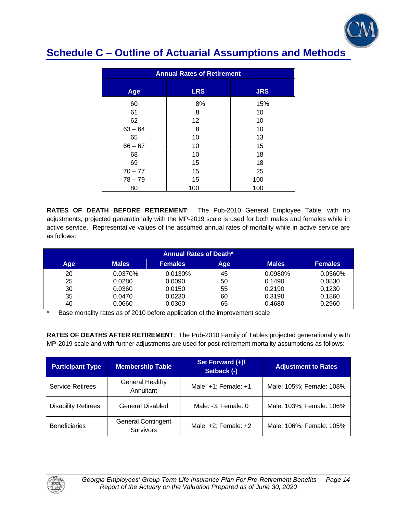

| <b>Annual Rates of Retirement</b> |            |            |  |  |  |
|-----------------------------------|------------|------------|--|--|--|
| Age                               | <b>LRS</b> | <b>JRS</b> |  |  |  |
| 60                                | 8%         | 15%        |  |  |  |
| 61                                | 8          | 10         |  |  |  |
| 62                                | 12         | 10         |  |  |  |
| $63 - 64$                         | 8          | 10         |  |  |  |
| 65                                | 10         | 13         |  |  |  |
| $66 - 67$                         | 10         | 15         |  |  |  |
| 68                                | 10         | 18         |  |  |  |
| 69                                | 15         | 18         |  |  |  |
| $70 - 77$                         | 15         | 25         |  |  |  |
| $78 - 79$                         | 15         | 100        |  |  |  |
| 80                                | 100        | 100        |  |  |  |

**RATES OF DEATH BEFORE RETIREMENT**: The Pub-2010 General Employee Table, with no adjustments, projected generationally with the MP-2019 scale is used for both males and females while in active service. Representative values of the assumed annual rates of mortality while in active service are as follows:

| <b>Annual Rates of Death*</b> |              |                |     |              |                |
|-------------------------------|--------------|----------------|-----|--------------|----------------|
| <b>Age</b>                    | <b>Males</b> | <b>Females</b> | Age | <b>Males</b> | <b>Females</b> |
| 20                            | 0.0370%      | 0.0130%        | 45  | $0.0980\%$   | 0.0560%        |
| 25                            | 0.0280       | 0.0090         | 50  | 0.1490       | 0.0830         |
| 30                            | 0.0360       | 0.0150         | 55  | 0.2190       | 0.1230         |
| 35                            | 0.0470       | 0.0230         | 60  | 0.3190       | 0.1860         |
| 40                            | 0.0660       | 0.0360         | 65  | 0.4680       | 0.2960         |

Base mortality rates as of 2010 before application of the improvement scale

**RATES OF DEATHS AFTER RETIREMENT**: The Pub-2010 Family of Tables projected generationally with MP-2019 scale and with further adjustments are used for post-retirement mortality assumptions as follows:

| <b>Participant Type</b>    | <b>Membership Table</b>                | Set Forward (+)/<br>Setback (-) | <b>Adjustment to Rates</b> |
|----------------------------|----------------------------------------|---------------------------------|----------------------------|
| <b>Service Retirees</b>    | <b>General Healthy</b><br>Annuitant    | Male: $+1$ ; Female: $+1$       | Male: 105%; Female: 108%   |
| <b>Disability Retirees</b> | General Disabled                       | Male: -3; Female: 0             | Male: 103%; Female: 106%   |
| <b>Beneficiaries</b>       | <b>General Contingent</b><br>Survivors | Male: $+2$ ; Female: $+2$       | Male: 106%; Female: 105%   |

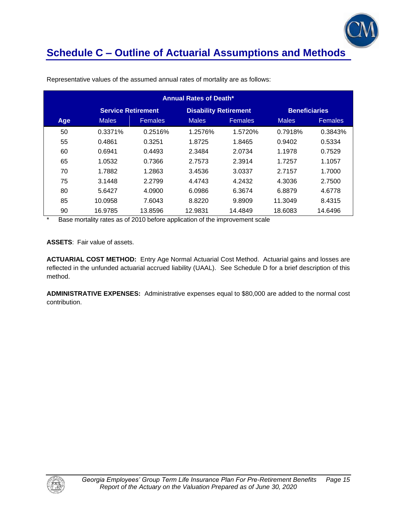

| <b>Annual Rates of Death*</b>                                                     |              |                |              |                |              |                |
|-----------------------------------------------------------------------------------|--------------|----------------|--------------|----------------|--------------|----------------|
| <b>Service Retirement</b><br><b>Disability Retirement</b><br><b>Beneficiaries</b> |              |                |              |                |              |                |
| Age                                                                               | <b>Males</b> | <b>Females</b> | <b>Males</b> | <b>Females</b> | <b>Males</b> | <b>Females</b> |
| 50                                                                                | 0.3371%      | 0.2516%        | 1.2576%      | 1.5720%        | 0.7918%      | 0.3843%        |
| 55                                                                                | 0.4861       | 0.3251         | 1.8725       | 1.8465         | 0.9402       | 0.5334         |
| 60                                                                                | 0.6941       | 0.4493         | 2.3484       | 2.0734         | 1.1978       | 0.7529         |
| 65                                                                                | 1.0532       | 0.7366         | 2.7573       | 2.3914         | 1.7257       | 1.1057         |
| 70                                                                                | 1.7882       | 1.2863         | 3.4536       | 3.0337         | 2.7157       | 1.7000         |
| 75                                                                                | 3.1448       | 2.2799         | 4.4743       | 4.2432         | 4.3036       | 2.7500         |
| 80                                                                                | 5.6427       | 4.0900         | 6.0986       | 6.3674         | 6.8879       | 4.6778         |
| 85                                                                                | 10.0958      | 7.6043         | 8.8220       | 9.8909         | 11.3049      | 8.4315         |
| 90                                                                                | 16.9785      | 13.8596        | 12.9831      | 14.4849        | 18.6083      | 14.6496        |

Representative values of the assumed annual rates of mortality are as follows:

Base mortality rates as of 2010 before application of the improvement scale

**ASSETS**: Fair value of assets.

**ACTUARIAL COST METHOD:** Entry Age Normal Actuarial Cost Method. Actuarial gains and losses are reflected in the unfunded actuarial accrued liability (UAAL). See Schedule D for a brief description of this method.

**ADMINISTRATIVE EXPENSES:** Administrative expenses equal to \$80,000 are added to the normal cost contribution.

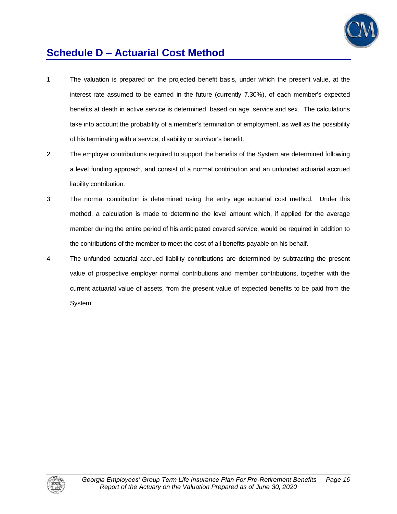

## **Schedule D – Actuarial Cost Method**

- 1. The valuation is prepared on the projected benefit basis, under which the present value, at the interest rate assumed to be earned in the future (currently 7.30%), of each member's expected benefits at death in active service is determined, based on age, service and sex. The calculations take into account the probability of a member's termination of employment, as well as the possibility of his terminating with a service, disability or survivor's benefit.
- 2. The employer contributions required to support the benefits of the System are determined following a level funding approach, and consist of a normal contribution and an unfunded actuarial accrued liability contribution.
- 3. The normal contribution is determined using the entry age actuarial cost method. Under this method, a calculation is made to determine the level amount which, if applied for the average member during the entire period of his anticipated covered service, would be required in addition to the contributions of the member to meet the cost of all benefits payable on his behalf.
- 4. The unfunded actuarial accrued liability contributions are determined by subtracting the present value of prospective employer normal contributions and member contributions, together with the current actuarial value of assets, from the present value of expected benefits to be paid from the System.

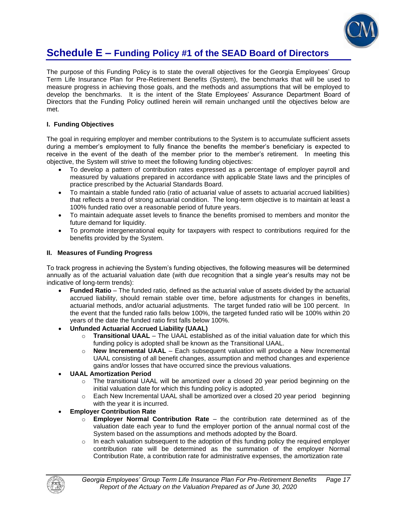

### **Schedule E – Funding Policy #1 of the SEAD Board of Directors**

The purpose of this Funding Policy is to state the overall objectives for the Georgia Employees' Group Term Life Insurance Plan for Pre-Retirement Benefits (System), the benchmarks that will be used to measure progress in achieving those goals, and the methods and assumptions that will be employed to develop the benchmarks. It is the intent of the State Employees' Assurance Department Board of Directors that the Funding Policy outlined herein will remain unchanged until the objectives below are met.

#### **I. Funding Objectives**

The goal in requiring employer and member contributions to the System is to accumulate sufficient assets during a member's employment to fully finance the benefits the member's beneficiary is expected to receive in the event of the death of the member prior to the member's retirement. In meeting this objective, the System will strive to meet the following funding objectives:

- To develop a pattern of contribution rates expressed as a percentage of employer payroll and measured by valuations prepared in accordance with applicable State laws and the principles of practice prescribed by the Actuarial Standards Board.
- To maintain a stable funded ratio (ratio of actuarial value of assets to actuarial accrued liabilities) that reflects a trend of strong actuarial condition. The long-term objective is to maintain at least a 100% funded ratio over a reasonable period of future years.
- To maintain adequate asset levels to finance the benefits promised to members and monitor the future demand for liquidity.
- To promote intergenerational equity for taxpayers with respect to contributions required for the benefits provided by the System.

#### **II. Measures of Funding Progress**

To track progress in achieving the System's funding objectives, the following measures will be determined annually as of the actuarial valuation date (with due recognition that a single year's results may not be indicative of long-term trends):

- **Funded Ratio** The funded ratio, defined as the actuarial value of assets divided by the actuarial accrued liability, should remain stable over time, before adjustments for changes in benefits, actuarial methods, and/or actuarial adjustments. The target funded ratio will be 100 percent. In the event that the funded ratio falls below 100%, the targeted funded ratio will be 100% within 20 years of the date the funded ratio first falls below 100%.
- **Unfunded Actuarial Accrued Liability (UAAL)**
	- o **Transitional UAAL** The UAAL established as of the initial valuation date for which this funding policy is adopted shall be known as the Transitional UAAL.
	- o **New Incremental UAAL** Each subsequent valuation will produce a New Incremental UAAL consisting of all benefit changes, assumption and method changes and experience gains and/or losses that have occurred since the previous valuations.
- **UAAL Amortization Period** 
	- $\circ$  The transitional UAAL will be amortized over a closed 20 year period beginning on the initial valuation date for which this funding policy is adopted.
	- $\circ$  Each New Incremental UAAL shall be amortized over a closed 20 year period beginning with the year it is incurred.
- **Employer Contribution Rate** 
	- o **Employer Normal Contribution Rate**  the contribution rate determined as of the valuation date each year to fund the employer portion of the annual normal cost of the System based on the assumptions and methods adopted by the Board.
	- $\circ$  In each valuation subsequent to the adoption of this funding policy the required employer contribution rate will be determined as the summation of the employer Normal Contribution Rate, a contribution rate for administrative expenses, the amortization rate

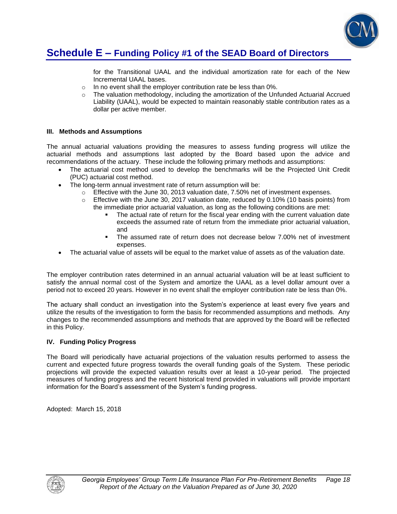

### **Schedule E – Funding Policy #1 of the SEAD Board of Directors**

for the Transitional UAAL and the individual amortization rate for each of the New Incremental UAAL bases.

- o In no event shall the employer contribution rate be less than 0%.
- $\circ$  The valuation methodology, including the amortization of the Unfunded Actuarial Accrued Liability (UAAL), would be expected to maintain reasonably stable contribution rates as a dollar per active member.

#### **III. Methods and Assumptions**

The annual actuarial valuations providing the measures to assess funding progress will utilize the actuarial methods and assumptions last adopted by the Board based upon the advice and recommendations of the actuary. These include the following primary methods and assumptions:

- The actuarial cost method used to develop the benchmarks will be the Projected Unit Credit (PUC) actuarial cost method.
- The long-term annual investment rate of return assumption will be:
	- o Effective with the June 30, 2013 valuation date, 7.50% net of investment expenses.
	- o Effective with the June 30, 2017 valuation date, reduced by 0.10% (10 basis points) from the immediate prior actuarial valuation, as long as the following conditions are met:
		- The actual rate of return for the fiscal year ending with the current valuation date exceeds the assumed rate of return from the immediate prior actuarial valuation, and
		- The assumed rate of return does not decrease below 7.00% net of investment expenses.
- The actuarial value of assets will be equal to the market value of assets as of the valuation date.

The employer contribution rates determined in an annual actuarial valuation will be at least sufficient to satisfy the annual normal cost of the System and amortize the UAAL as a level dollar amount over a period not to exceed 20 years. However in no event shall the employer contribution rate be less than 0%.

The actuary shall conduct an investigation into the System's experience at least every five years and utilize the results of the investigation to form the basis for recommended assumptions and methods. Any changes to the recommended assumptions and methods that are approved by the Board will be reflected in this Policy.

#### **IV. Funding Policy Progress**

The Board will periodically have actuarial projections of the valuation results performed to assess the current and expected future progress towards the overall funding goals of the System. These periodic projections will provide the expected valuation results over at least a 10-year period. The projected measures of funding progress and the recent historical trend provided in valuations will provide important information for the Board's assessment of the System's funding progress.

Adopted: March 15, 2018

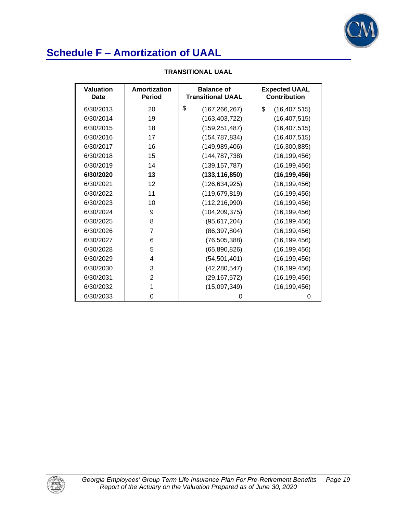

| Valuation<br>Date | Amortization<br><b>Period</b> | <b>Balance of</b><br><b>Transitional UAAL</b> | <b>Expected UAAL</b><br><b>Contribution</b> |
|-------------------|-------------------------------|-----------------------------------------------|---------------------------------------------|
| 6/30/2013         | 20                            | \$<br>(167, 266, 267)                         | \$<br>(16, 407, 515)                        |
| 6/30/2014         | 19                            | (163, 403, 722)                               | (16, 407, 515)                              |
| 6/30/2015         | 18                            | (159, 251, 487)                               | (16, 407, 515)                              |
| 6/30/2016         | 17                            | (154, 787, 834)                               | (16, 407, 515)                              |
| 6/30/2017         | 16                            | (149, 989, 406)                               | (16,300,885)                                |
| 6/30/2018         | 15                            | (144, 787, 738)                               | (16, 199, 456)                              |
| 6/30/2019         | 14                            | (139, 157, 787)                               | (16, 199, 456)                              |
| 6/30/2020         | 13                            | (133, 116, 850)                               | (16, 199, 456)                              |
| 6/30/2021         | 12                            | (126, 634, 925)                               | (16, 199, 456)                              |
| 6/30/2022         | 11                            | (119, 679, 819)                               | (16, 199, 456)                              |
| 6/30/2023         | 10                            | (112, 216, 990)                               | (16, 199, 456)                              |
| 6/30/2024         | 9                             | (104, 209, 375)                               | (16, 199, 456)                              |
| 6/30/2025         | 8                             | (95, 617, 204)                                | (16, 199, 456)                              |
| 6/30/2026         | $\overline{7}$                | (86, 397, 804)                                | (16, 199, 456)                              |
| 6/30/2027         | 6                             | (76, 505, 388)                                | (16, 199, 456)                              |
| 6/30/2028         | 5                             | (65,890,826)                                  | (16, 199, 456)                              |
| 6/30/2029         | 4                             | (54, 501, 401)                                | (16, 199, 456)                              |
| 6/30/2030         | 3                             | (42, 280, 547)                                | (16, 199, 456)                              |
| 6/30/2031         | $\overline{2}$                | (29, 167, 572)                                | (16, 199, 456)                              |
| 6/30/2032         | 1                             | (15,097,349)                                  | (16, 199, 456)                              |
| 6/30/2033         | 0                             | 0                                             | 0                                           |

#### **TRANSITIONAL UAAL**

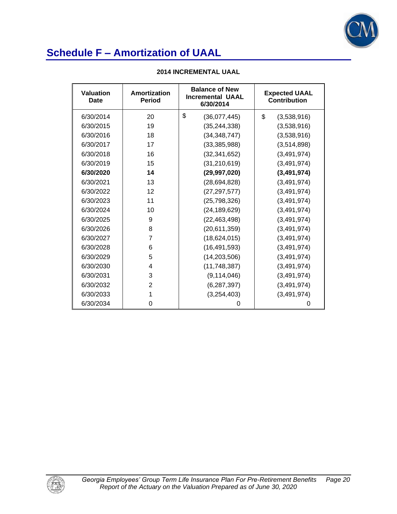

| <b>Valuation</b><br><b>Date</b> | Amortization<br><b>Period</b> | <b>Balance of New</b><br><b>Incremental UAAL</b><br>6/30/2014 | <b>Expected UAAL</b><br><b>Contribution</b> |
|---------------------------------|-------------------------------|---------------------------------------------------------------|---------------------------------------------|
| 6/30/2014                       | 20                            | \$<br>(36,077,445)                                            | \$<br>(3,538,916)                           |
| 6/30/2015                       | 19                            | (35, 244, 338)                                                | (3,538,916)                                 |
| 6/30/2016                       | 18                            | (34, 348, 747)                                                | (3,538,916)                                 |
| 6/30/2017                       | 17                            | (33, 385, 988)                                                | (3,514,898)                                 |
| 6/30/2018                       | 16                            | (32, 341, 652)                                                | (3, 491, 974)                               |
| 6/30/2019                       | 15                            | (31, 210, 619)                                                | (3,491,974)                                 |
| 6/30/2020                       | 14                            | (29, 997, 020)                                                | (3,491,974)                                 |
| 6/30/2021                       | 13                            | (28, 694, 828)                                                | (3, 491, 974)                               |
| 6/30/2022                       | 12                            | (27, 297, 577)                                                | (3, 491, 974)                               |
| 6/30/2023                       | 11                            | (25, 798, 326)                                                | (3, 491, 974)                               |
| 6/30/2024                       | 10                            | (24, 189, 629)                                                | (3,491,974)                                 |
| 6/30/2025                       | 9                             | (22, 463, 498)                                                | (3,491,974)                                 |
| 6/30/2026                       | 8                             | (20,611,359)                                                  | (3, 491, 974)                               |
| 6/30/2027                       | 7                             | (18, 624, 015)                                                | (3, 491, 974)                               |
| 6/30/2028                       | 6                             | (16, 491, 593)                                                | (3, 491, 974)                               |
| 6/30/2029                       | 5                             | (14, 203, 506)                                                | (3, 491, 974)                               |
| 6/30/2030                       | 4                             | (11, 748, 387)                                                | (3,491,974)                                 |
| 6/30/2031                       | 3                             | (9, 114, 046)                                                 | (3, 491, 974)                               |
| 6/30/2032                       | $\overline{2}$                | (6, 287, 397)                                                 | (3, 491, 974)                               |
| 6/30/2033                       | 1                             | (3,254,403)                                                   | (3, 491, 974)                               |
| 6/30/2034                       | 0                             | 0                                                             | 0                                           |

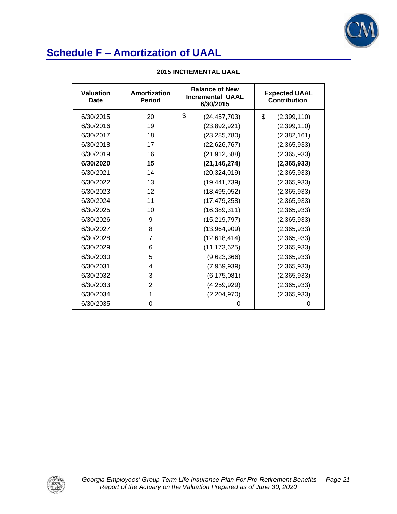

| Valuation<br>Date | Amortization<br><b>Period</b> | <b>Balance of New</b><br><b>Incremental UAAL</b><br>6/30/2015 | <b>Expected UAAL</b><br><b>Contribution</b> |
|-------------------|-------------------------------|---------------------------------------------------------------|---------------------------------------------|
| 6/30/2015         | 20                            | \$<br>(24, 457, 703)                                          | \$<br>(2,399,110)                           |
| 6/30/2016         | 19                            | (23,892,921)                                                  | (2,399,110)                                 |
| 6/30/2017         | 18                            | (23, 285, 780)                                                | (2,382,161)                                 |
| 6/30/2018         | 17                            | (22, 626, 767)                                                | (2,365,933)                                 |
| 6/30/2019         | 16                            | (21, 912, 588)                                                | (2,365,933)                                 |
| 6/30/2020         | 15                            | (21, 146, 274)                                                | (2,365,933)                                 |
| 6/30/2021         | 14                            | (20, 324, 019)                                                | (2,365,933)                                 |
| 6/30/2022         | 13                            | (19, 441, 739)                                                | (2,365,933)                                 |
| 6/30/2023         | 12                            | (18, 495, 052)                                                | (2,365,933)                                 |
| 6/30/2024         | 11                            | (17, 479, 258)                                                | (2,365,933)                                 |
| 6/30/2025         | 10                            | (16, 389, 311)                                                | (2,365,933)                                 |
| 6/30/2026         | 9                             | (15, 219, 797)                                                | (2,365,933)                                 |
| 6/30/2027         | 8                             | (13,964,909)                                                  | (2,365,933)                                 |
| 6/30/2028         | 7                             | (12,618,414)                                                  | (2,365,933)                                 |
| 6/30/2029         | 6                             | (11, 173, 625)                                                | (2,365,933)                                 |
| 6/30/2030         | 5                             | (9,623,366)                                                   | (2,365,933)                                 |
| 6/30/2031         | 4                             | (7,959,939)                                                   | (2,365,933)                                 |
| 6/30/2032         | 3                             | (6, 175, 081)                                                 | (2,365,933)                                 |
| 6/30/2033         | $\overline{2}$                | (4, 259, 929)                                                 | (2,365,933)                                 |
| 6/30/2034         | 1                             | (2,204,970)                                                   | (2,365,933)                                 |
| 6/30/2035         | 0                             | 0                                                             | 0                                           |

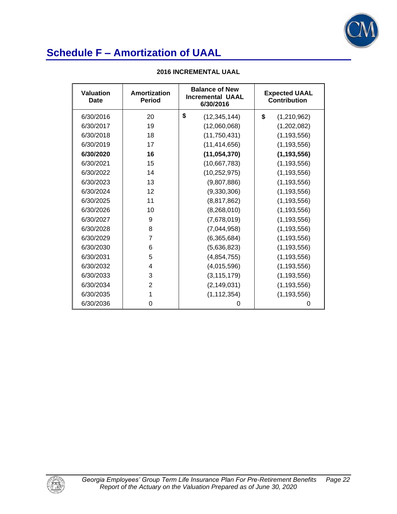

| <b>Valuation</b><br><b>Date</b> | <b>Amortization</b><br><b>Period</b> | <b>Balance of New</b><br><b>Incremental UAAL</b><br>6/30/2016 | <b>Expected UAAL</b><br><b>Contribution</b> |
|---------------------------------|--------------------------------------|---------------------------------------------------------------|---------------------------------------------|
| 6/30/2016                       | 20                                   | \$<br>(12, 345, 144)                                          | \$<br>(1,210,962)                           |
| 6/30/2017                       | 19                                   | (12,060,068)                                                  | (1,202,082)                                 |
| 6/30/2018                       | 18                                   | (11, 750, 431)                                                | (1, 193, 556)                               |
| 6/30/2019                       | 17                                   | (11, 414, 656)                                                | (1, 193, 556)                               |
| 6/30/2020                       | 16                                   | (11, 054, 370)                                                | (1, 193, 556)                               |
| 6/30/2021                       | 15                                   | (10,667,783)                                                  | (1, 193, 556)                               |
| 6/30/2022                       | 14                                   | (10, 252, 975)                                                | (1, 193, 556)                               |
| 6/30/2023                       | 13                                   | (9,807,886)                                                   | (1, 193, 556)                               |
| 6/30/2024                       | 12                                   | (9,330,306)                                                   | (1, 193, 556)                               |
| 6/30/2025                       | 11                                   | (8,817,862)                                                   | (1, 193, 556)                               |
| 6/30/2026                       | 10                                   | (8,268,010)                                                   | (1, 193, 556)                               |
| 6/30/2027                       | 9                                    | (7,678,019)                                                   | (1, 193, 556)                               |
| 6/30/2028                       | 8                                    | (7,044,958)                                                   | (1, 193, 556)                               |
| 6/30/2029                       | 7                                    | (6,365,684)                                                   | (1, 193, 556)                               |
| 6/30/2030                       | 6                                    | (5,636,823)                                                   | (1, 193, 556)                               |
| 6/30/2031                       | 5                                    | (4,854,755)                                                   | (1, 193, 556)                               |
| 6/30/2032                       | 4                                    | (4,015,596)                                                   | (1, 193, 556)                               |
| 6/30/2033                       | 3                                    | (3, 115, 179)                                                 | (1, 193, 556)                               |
| 6/30/2034                       | $\overline{2}$                       | (2, 149, 031)                                                 | (1, 193, 556)                               |
| 6/30/2035                       | 1                                    | (1, 112, 354)                                                 | (1, 193, 556)                               |
| 6/30/2036                       | 0                                    | 0                                                             | 0                                           |

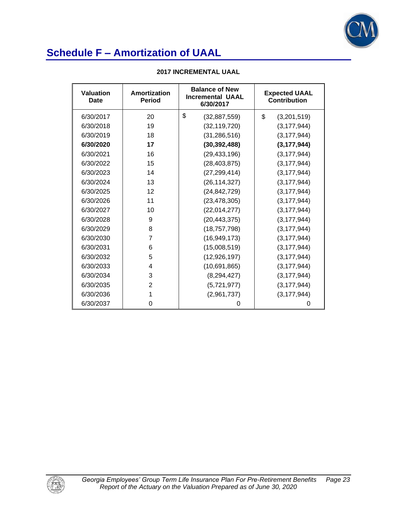

| <b>Valuation</b><br>Date | Amortization<br><b>Period</b> | <b>Balance of New</b><br><b>Incremental UAAL</b><br>6/30/2017 | <b>Expected UAAL</b><br><b>Contribution</b> |  |
|--------------------------|-------------------------------|---------------------------------------------------------------|---------------------------------------------|--|
| 6/30/2017                | 20                            | \$<br>(32, 887, 559)                                          | \$<br>(3,201,519)                           |  |
| 6/30/2018                | 19                            | (32, 119, 720)                                                | (3, 177, 944)                               |  |
| 6/30/2019                | 18                            | (31, 286, 516)                                                | (3, 177, 944)                               |  |
| 6/30/2020                | 17                            | (30, 392, 488)                                                | (3, 177, 944)                               |  |
| 6/30/2021                | 16                            | (29, 433, 196)                                                | (3, 177, 944)                               |  |
| 6/30/2022                | 15                            | (28, 403, 875)                                                | (3, 177, 944)                               |  |
| 6/30/2023                | 14                            | (27, 299, 414)                                                | (3, 177, 944)                               |  |
| 6/30/2024                | 13                            | (26, 114, 327)                                                | (3, 177, 944)                               |  |
| 6/30/2025                | 12                            | (24, 842, 729)                                                | (3, 177, 944)                               |  |
| 6/30/2026                | 11                            | (23, 478, 305)                                                | (3, 177, 944)                               |  |
| 6/30/2027                | 10                            | (22,014,277)                                                  | (3, 177, 944)                               |  |
| 6/30/2028                | 9                             | (20, 443, 375)                                                | (3, 177, 944)                               |  |
| 6/30/2029                | 8                             | (18, 757, 798)                                                | (3, 177, 944)                               |  |
| 6/30/2030                | 7                             | (16, 949, 173)                                                | (3, 177, 944)                               |  |
| 6/30/2031                | 6                             | (15,008,519)                                                  | (3, 177, 944)                               |  |
| 6/30/2032                | 5                             | (12, 926, 197)                                                | (3, 177, 944)                               |  |
| 6/30/2033                | 4                             | (10,691,865)                                                  | (3, 177, 944)                               |  |
| 6/30/2034                | 3                             | (8, 294, 427)                                                 | (3, 177, 944)                               |  |
| 6/30/2035                | 2                             | (5,721,977)                                                   | (3, 177, 944)                               |  |
| 6/30/2036                | 1                             | (2,961,737)                                                   | (3, 177, 944)                               |  |
| 6/30/2037                | 0                             | 0                                                             | 0                                           |  |

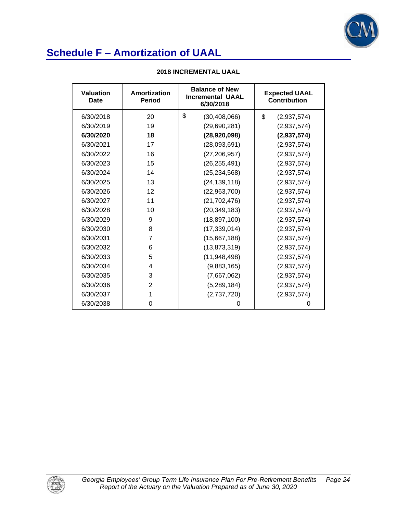

| Valuation<br>Date | Amortization<br><b>Period</b> | <b>Balance of New</b><br><b>Incremental UAAL</b><br>6/30/2018 | <b>Expected UAAL</b><br><b>Contribution</b> |  |
|-------------------|-------------------------------|---------------------------------------------------------------|---------------------------------------------|--|
| 6/30/2018         | 20                            | \$<br>(30, 408, 066)                                          | \$<br>(2,937,574)                           |  |
| 6/30/2019         | 19                            | (29,690,281)                                                  | (2,937,574)                                 |  |
| 6/30/2020         | 18                            | (28,920,098)                                                  | (2,937,574)                                 |  |
| 6/30/2021         | 17                            | (28,093,691)                                                  | (2,937,574)                                 |  |
| 6/30/2022         | 16                            | (27, 206, 957)                                                | (2,937,574)                                 |  |
| 6/30/2023         | 15                            | (26, 255, 491)                                                | (2,937,574)                                 |  |
| 6/30/2024         | 14                            | (25, 234, 568)                                                | (2,937,574)                                 |  |
| 6/30/2025         | 13                            | (24, 139, 118)                                                | (2,937,574)                                 |  |
| 6/30/2026         | 12                            | (22,963,700)                                                  | (2,937,574)                                 |  |
| 6/30/2027         | 11                            | (21, 702, 476)                                                | (2,937,574)                                 |  |
| 6/30/2028         | 10                            | (20, 349, 183)                                                | (2,937,574)                                 |  |
| 6/30/2029         | 9                             | (18, 897, 100)                                                | (2,937,574)                                 |  |
| 6/30/2030         | 8                             | (17, 339, 014)                                                | (2,937,574)                                 |  |
| 6/30/2031         | 7                             | (15,667,188)                                                  | (2,937,574)                                 |  |
| 6/30/2032         | 6                             | (13, 873, 319)                                                | (2,937,574)                                 |  |
| 6/30/2033         | 5                             | (11,948,498)                                                  | (2,937,574)                                 |  |
| 6/30/2034         | 4                             | (9,883,165)                                                   | (2,937,574)                                 |  |
| 6/30/2035         | 3                             | (7,667,062)                                                   | (2,937,574)                                 |  |
| 6/30/2036         | 2                             | (5,289,184)                                                   | (2,937,574)                                 |  |
| 6/30/2037         | 1                             | (2,737,720)                                                   | (2,937,574)                                 |  |
| 6/30/2038         | 0                             | 0                                                             | 0                                           |  |

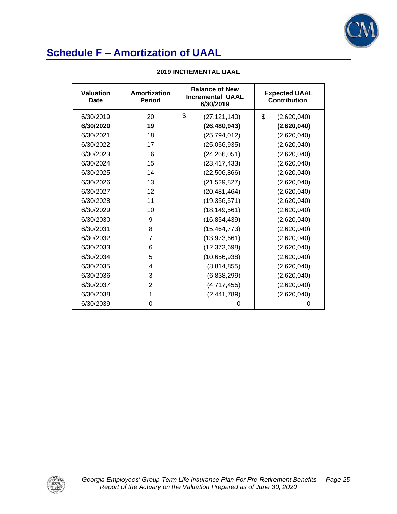

| <b>Valuation</b><br>Date | Amortization<br><b>Period</b> | <b>Balance of New</b><br><b>Incremental UAAL</b><br>6/30/2019 | <b>Expected UAAL</b><br><b>Contribution</b> |  |
|--------------------------|-------------------------------|---------------------------------------------------------------|---------------------------------------------|--|
| 6/30/2019                | 20                            | \$<br>(27, 121, 140)                                          | \$<br>(2,620,040)                           |  |
| 6/30/2020                | 19                            | (26, 480, 943)                                                | (2,620,040)                                 |  |
| 6/30/2021                | 18                            | (25, 794, 012)                                                | (2,620,040)                                 |  |
| 6/30/2022                | 17                            | (25,056,935)                                                  | (2,620,040)                                 |  |
| 6/30/2023                | 16                            | (24, 266, 051)                                                | (2,620,040)                                 |  |
| 6/30/2024                | 15                            | (23, 417, 433)                                                | (2,620,040)                                 |  |
| 6/30/2025                | 14                            | (22, 506, 866)                                                | (2,620,040)                                 |  |
| 6/30/2026                | 13                            | (21, 529, 827)                                                | (2,620,040)                                 |  |
| 6/30/2027                | 12                            | (20, 481, 464)                                                | (2,620,040)                                 |  |
| 6/30/2028                | 11                            | (19, 356, 571)                                                | (2,620,040)                                 |  |
| 6/30/2029                | 10                            | (18, 149, 561)                                                | (2,620,040)                                 |  |
| 6/30/2030                | 9                             | (16, 854, 439)                                                | (2,620,040)                                 |  |
| 6/30/2031                | 8                             | (15, 464, 773)                                                | (2,620,040)                                 |  |
| 6/30/2032                | 7                             | (13, 973, 661)                                                | (2,620,040)                                 |  |
| 6/30/2033                | 6                             | (12, 373, 698)                                                | (2,620,040)                                 |  |
| 6/30/2034                | 5                             | (10,656,938)                                                  | (2,620,040)                                 |  |
| 6/30/2035                | 4                             | (8,814,855)                                                   | (2,620,040)                                 |  |
| 6/30/2036                | 3                             | (6,838,299)                                                   | (2,620,040)                                 |  |
| 6/30/2037                | $\overline{2}$                | (4,717,455)                                                   | (2,620,040)                                 |  |
| 6/30/2038                | 1                             | (2,441,789)                                                   | (2,620,040)                                 |  |
| 6/30/2039                | 0                             | 0                                                             | 0                                           |  |

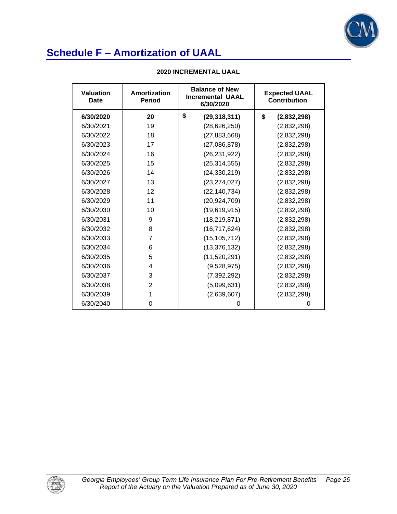

| Valuation<br><b>Date</b> | Amortization<br><b>Period</b> | <b>Balance of New</b><br><b>Incremental UAAL</b><br>6/30/2020 | <b>Expected UAAL</b><br><b>Contribution</b> |
|--------------------------|-------------------------------|---------------------------------------------------------------|---------------------------------------------|
| 6/30/2020                | 20                            | \$<br>(29, 318, 311)                                          | \$<br>(2,832,298)                           |
| 6/30/2021                | 19                            | (28, 626, 250)                                                | (2,832,298)                                 |
| 6/30/2022                | 18                            | (27, 883, 668)                                                | (2,832,298)                                 |
| 6/30/2023                | 17                            | (27,086,878)                                                  | (2,832,298)                                 |
| 6/30/2024                | 16                            | (26, 231, 922)                                                | (2,832,298)                                 |
| 6/30/2025                | 15                            | (25, 314, 555)                                                | (2,832,298)                                 |
| 6/30/2026                | 14                            | (24, 330, 219)                                                | (2,832,298)                                 |
| 6/30/2027                | 13                            | (23, 274, 027)                                                | (2,832,298)                                 |
| 6/30/2028                | 12                            | (22, 140, 734)                                                | (2,832,298)                                 |
| 6/30/2029                | 11                            | (20, 924, 709)                                                | (2,832,298)                                 |
| 6/30/2030                | 10                            | (19,619,915)                                                  | (2,832,298)                                 |
| 6/30/2031                | 9                             | (18, 219, 871)                                                | (2,832,298)                                 |
| 6/30/2032                | 8                             | (16, 717, 624)                                                | (2,832,298)                                 |
| 6/30/2033                | 7                             | (15, 105, 712)                                                | (2,832,298)                                 |
| 6/30/2034                | 6                             | (13, 376, 132)                                                | (2,832,298)                                 |
| 6/30/2035                | 5                             | (11,520,291)                                                  | (2,832,298)                                 |
| 6/30/2036                | 4                             | (9,528,975)                                                   | (2,832,298)                                 |
| 6/30/2037                | 3                             | (7, 392, 292)                                                 | (2,832,298)                                 |
| 6/30/2038                | $\overline{2}$                | (5,099,631)                                                   | (2,832,298)                                 |
| 6/30/2039                | 1                             | (2,639,607)                                                   | (2,832,298)                                 |
| 6/30/2040                | 0                             | 0                                                             | 0                                           |

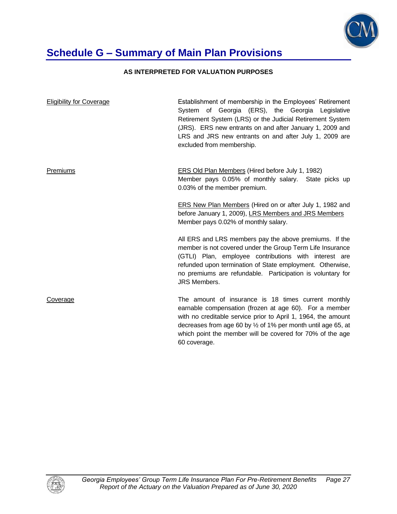

### **Schedule G – Summary of Main Plan Provisions**

#### **AS INTERPRETED FOR VALUATION PURPOSES**

| <b>Eligibility for Coverage</b> | Establishment of membership in the Employees' Retirement<br>System of Georgia (ERS), the Georgia Legislative<br>Retirement System (LRS) or the Judicial Retirement System<br>(JRS). ERS new entrants on and after January 1, 2009 and<br>LRS and JRS new entrants on and after July 1, 2009 are<br>excluded from membership.           |
|---------------------------------|----------------------------------------------------------------------------------------------------------------------------------------------------------------------------------------------------------------------------------------------------------------------------------------------------------------------------------------|
| Premiums                        | <b>ERS Old Plan Members (Hired before July 1, 1982)</b><br>Member pays 0.05% of monthly salary. State picks up<br>0.03% of the member premium.                                                                                                                                                                                         |
|                                 | <b>ERS New Plan Members (Hired on or after July 1, 1982 and</b><br>before January 1, 2009), LRS Members and JRS Members<br>Member pays 0.02% of monthly salary.                                                                                                                                                                        |
|                                 | All ERS and LRS members pay the above premiums. If the<br>member is not covered under the Group Term Life Insurance<br>(GTLI) Plan, employee contributions with interest are<br>refunded upon termination of State employment. Otherwise,<br>no premiums are refundable. Participation is voluntary for<br><b>JRS Members.</b>         |
| Coverage                        | The amount of insurance is 18 times current monthly<br>earnable compensation (frozen at age 60). For a member<br>with no creditable service prior to April 1, 1964, the amount<br>decreases from age 60 by $\frac{1}{2}$ of 1% per month until age 65, at<br>which point the member will be covered for 70% of the age<br>60 coverage. |